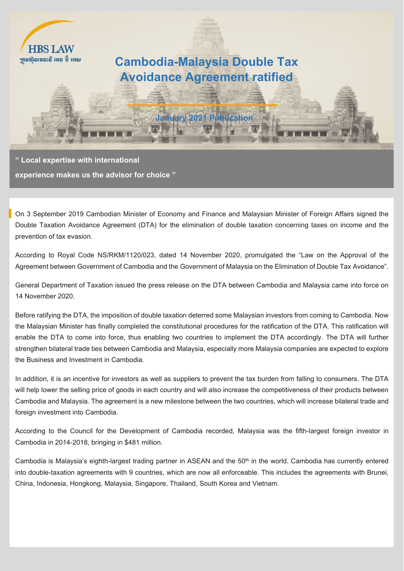

**" Local expertise with international experience makes us the advisor for choice "**

On 3 September 2019 Cambodian Minister of Economy and Finance and Malaysian Minister of Foreign Affairs signed the Double Taxation Avoidance Agreement (DTA) for the elimination of double taxation concerning taxes on income and the prevention of tax evasion.

According to Royal Code NS/RKM/1120/023, dated 14 November 2020, promulgated the "Law on the Approval of the Agreement between Government of Cambodia and the Government of Malaysia on the Elimination of Double Tax Avoidance".

General Department of Taxation issued the press release on the DTA between Cambodia and Malaysia came into force on 14 November 2020.

Before ratifying the DTA, the imposition of double taxation deterred some Malaysian investors from coming to Cambodia. Now the Malaysian Minister has finally completed the constitutional procedures for the ratification of the DTA. This ratification will enable the DTA to come into force, thus enabling two countries to implement the DTA accordingly. The DTA will further strengthen bilateral trade ties between Cambodia and Malaysia, especially more Malaysia companies are expected to explore the Business and Investment in Cambodia.

In addition, it is an incentive for investors as well as suppliers to prevent the tax burden from falling to consumers. The DTA will help lower the selling price of goods in each country and will also increase the competitiveness of their products between Cambodia and Malaysia. The agreement is a new milestone between the two countries, which will increase bilateral trade and foreign investment into Cambodia.

According to the Council for the Development of Cambodia recorded, Malaysia was the fifth-largest foreign investor in Cambodia in 2014-2018, bringing in \$481 million.

Cambodia is Malaysia's eighth-largest trading partner in ASEAN and the  $50<sup>th</sup>$  in the world. Cambodia has currently entered into double-taxation agreements with 9 countries, which are now all enforceable. This includes the agreements with Brunei, China, Indonesia, Hongkong, Malaysia, Singapore, Thailand, South Korea and Vietnam.